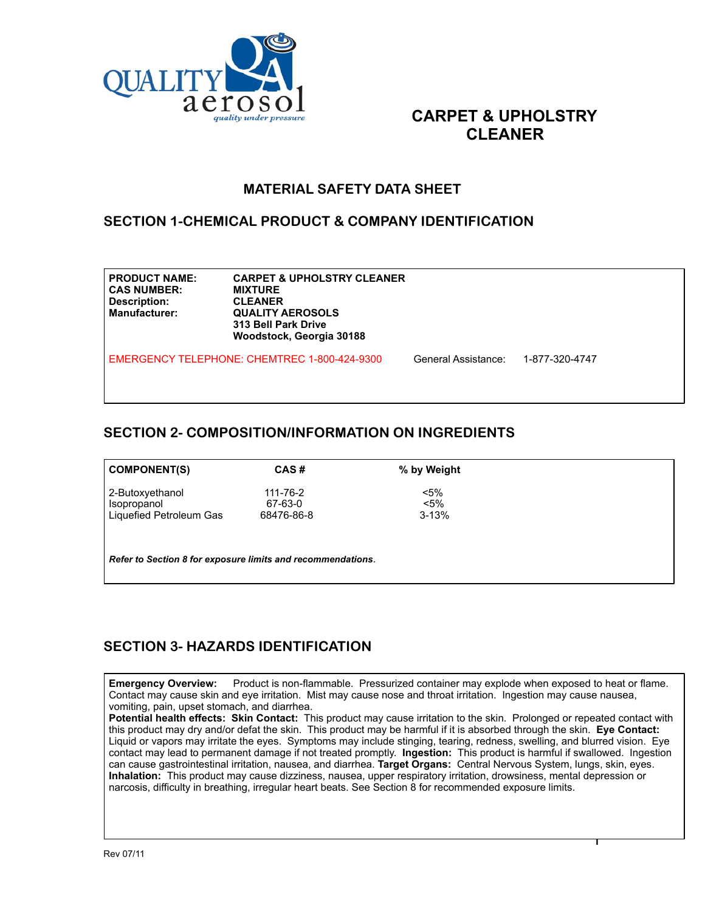

# **CARPET & UPHOLSTRY CLEANER**

### **MATERIAL SAFETY DATA SHEET**

#### **SECTION 1-CHEMICAL PRODUCT & COMPANY IDENTIFICATION**

| <b>PRODUCT NAME:</b><br><b>CAS NUMBER:</b><br>Description:<br><b>Manufacturer:</b> | <b>CARPET &amp; UPHOLSTRY CLEANER</b><br><b>MIXTURE</b><br><b>CLEANER</b><br><b>QUALITY AEROSOLS</b><br>313 Bell Park Drive<br>Woodstock, Georgia 30188 |                     |                |  |
|------------------------------------------------------------------------------------|---------------------------------------------------------------------------------------------------------------------------------------------------------|---------------------|----------------|--|
|                                                                                    | EMERGENCY TELEPHONE: CHEMTREC 1-800-424-9300                                                                                                            | General Assistance: | 1-877-320-4747 |  |

### **SECTION 2- COMPOSITION/INFORMATION ON INGREDIENTS**

| <b>COMPONENT(S)</b>                                         | CAS#           | % by Weight |  |
|-------------------------------------------------------------|----------------|-------------|--|
| 2-Butoxyethanol                                             | $111 - 76 - 2$ | $< 5\%$     |  |
| Isopropanol                                                 | 67-63-0        | $< 5\%$     |  |
| Liquefied Petroleum Gas                                     | 68476-86-8     | $3 - 13%$   |  |
|                                                             |                |             |  |
| Refer to Section 8 for exposure limits and recommendations. |                |             |  |

## **SECTION 3- HAZARDS IDENTIFICATION**

**Emergency Overview:** Product is non-flammable. Pressurized container may explode when exposed to heat or flame. Contact may cause skin and eye irritation. Mist may cause nose and throat irritation. Ingestion may cause nausea, vomiting, pain, upset stomach, and diarrhea.

**Potential health effects: Skin Contact:** This product may cause irritation to the skin. Prolonged or repeated contact with this product may dry and/or defat the skin. This product may be harmful if it is absorbed through the skin. **Eye Contact:**  Liquid or vapors may irritate the eyes. Symptoms may include stinging, tearing, redness, swelling, and blurred vision. Eye contact may lead to permanent damage if not treated promptly. **Ingestion:** This product is harmful if swallowed. Ingestion can cause gastrointestinal irritation, nausea, and diarrhea. **Target Organs:** Central Nervous System, lungs, skin, eyes. **Inhalation:** This product may cause dizziness, nausea, upper respiratory irritation, drowsiness, mental depression or narcosis, difficulty in breathing, irregular heart beats. See Section 8 for recommended exposure limits.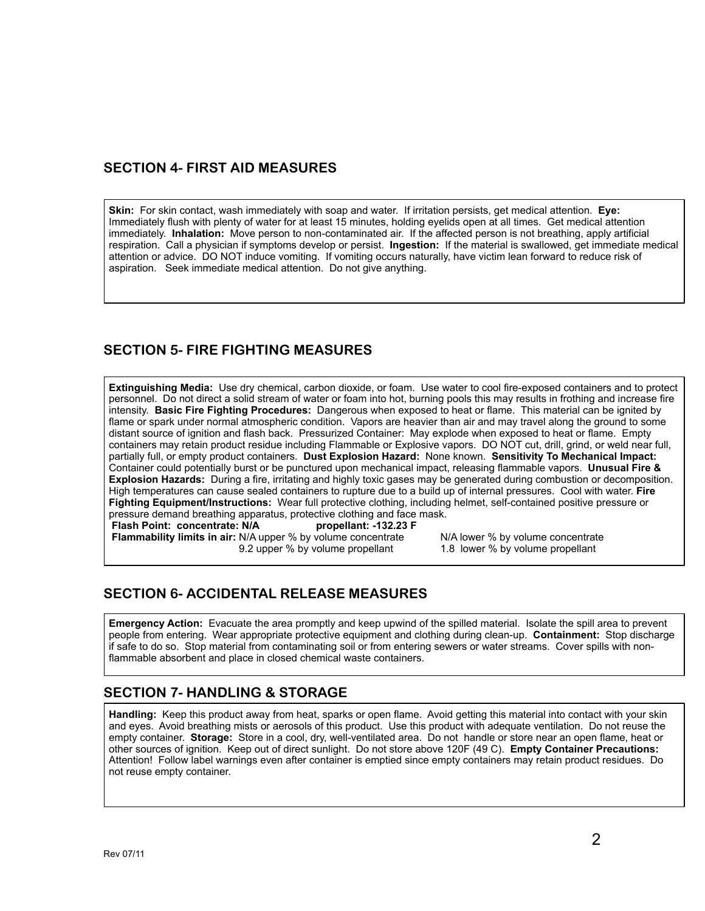### **SECTION 4- FIRST AID MEASURES**

**Skin:** For skin contact, wash immediately with soap and water. If irritation persists, get medical attention. **Eye:** Immediately flush with plenty of water for at least 15 minutes, holding eyelids open at all times. Get medical attention immediately. **Inhalation:** Move person to non-contaminated air. If the affected person is not breathing, apply artificial respiration. Call a physician if symptoms develop or persist. **Ingestion:** If the material is swallowed, get immediate medical attention or advice. DO NOT induce vomiting. If vomiting occurs naturally, have victim lean forward to reduce risk of aspiration. Seek immediate medical attention. Do not give anything.

## **SECTION 5- FIRE FIGHTING MEASURES**

**Extinguishing Media:** Use dry chemical, carbon dioxide, or foam. Use water to cool fire-exposed containers and to protect personnel. Do not direct a solid stream of water or foam into hot, burning pools this may results in frothing and increase fire intensity. **Basic Fire Fighting Procedures:** Dangerous when exposed to heat or flame. This material can be ignited by flame or spark under normal atmospheric condition. Vapors are heavier than air and may travel along the ground to some distant source of ignition and flash back. Pressurized Container: May explode when exposed to heat or flame. Empty containers may retain product residue including Flammable or Explosive vapors. DO NOT cut, drill, grind, or weld near full, partially full, or empty product containers. **Dust Explosion Hazard:** None known. **Sensitivity To Mechanical Impact:**  Container could potentially burst or be punctured upon mechanical impact, releasing flammable vapors. **Unusual Fire & Explosion Hazards:** During a fire, irritating and highly toxic gases may be generated during combustion or decomposition. High temperatures can cause sealed containers to rupture due to a build up of internal pressures. Cool with water. **Fire Fighting Equipment/Instructions:** Wear full protective clothing, including helmet, self-contained positive pressure or pressure demand breathing apparatus, protective clothing and face mask.<br>Flash Point: concentrate: N/A propellant: -132.23 F

**Flash Point: concentrate: N/A** 

**Flammability limits in air:** N/A upper % by volume concentrate N/A lower % by volume concentrate<br>9.2 upper % by volume propellant 1.8 lower % by volume propellant 9.2 upper % by volume propellant

## **SECTION 6- ACCIDENTAL RELEASE MEASURES**

**Emergency Action:** Evacuate the area promptly and keep upwind of the spilled material. Isolate the spill area to prevent people from entering. Wear appropriate protective equipment and clothing during clean-up. **Containment:** Stop discharge if safe to do so. Stop material from contaminating soil or from entering sewers or water streams. Cover spills with nonflammable absorbent and place in closed chemical waste containers.

#### **SECTION 7- HANDLING & STORAGE**

**Handling:** Keep this product away from heat, sparks or open flame. Avoid getting this material into contact with your skin and eyes. Avoid breathing mists or aerosols of this product. Use this product with adequate ventilation. Do not reuse the empty container. **Storage:** Store in a cool, dry, well-ventilated area. Do not handle or store near an open flame, heat or other sources of ignition. Keep out of direct sunlight. Do not store above 120F (49 C). **Empty Container Precautions:**  Attention! Follow label warnings even after container is emptied since empty containers may retain product residues. Do not reuse empty container.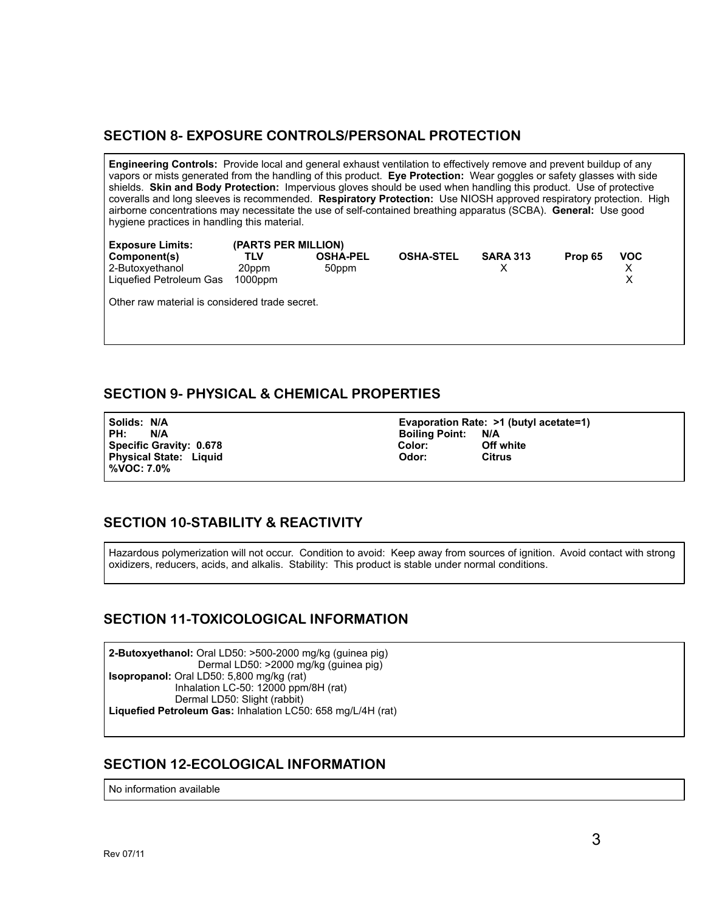### **SECTION 8- EXPOSURE CONTROLS/PERSONAL PROTECTION**

**Engineering Controls:** Provide local and general exhaust ventilation to effectively remove and prevent buildup of any vapors or mists generated from the handling of this product. **Eye Protection:** Wear goggles or safety glasses with side shields. **Skin and Body Protection:** Impervious gloves should be used when handling this product. Use of protective coveralls and long sleeves is recommended. **Respiratory Protection:** Use NIOSH approved respiratory protection. High airborne concentrations may necessitate the use of self-contained breathing apparatus (SCBA). **General:** Use good hygiene practices in handling this material.

**Exposure Limits: (PARTS PER MILLION) Component(s) TLV OSHA-PEL OSHA-STEL SARA 313 Prop 65 VOC** 2-Butoxyethanol 20ppm 50ppm X X Liquefied Petroleum Gas Other raw material is considered trade secret.

### **SECTION 9- PHYSICAL & CHEMICAL PROPERTIES**

**PH:** N/A **Boiling Point: N/A Physical State: Liquid %VOC: 7.0%** 

**Solids: N/A Evaporation Rate: >1 (butyl acetate=1) Specific Gravity: 0.678** Color: Color: Off white<br>Physical State: Liquid Color: Citrus Color: Citrus

## **SECTION 10-STABILITY & REACTIVITY**

Hazardous polymerization will not occur. Condition to avoid: Keep away from sources of ignition. Avoid contact with strong oxidizers, reducers, acids, and alkalis. Stability: This product is stable under normal conditions.

#### **SECTION 11-TOXICOLOGICAL INFORMATION**

**2-Butoxyethanol:** Oral LD50: >500-2000 mg/kg (guinea pig) Dermal LD50: >2000 mg/kg (guinea pig) **Isopropanol:** Oral LD50: 5,800 mg/kg (rat) Inhalation LC-50: 12000 ppm/8H (rat) Dermal LD50: Slight (rabbit) **Liquefied Petroleum Gas:** Inhalation LC50: 658 mg/L/4H (rat)

#### **SECTION 12-ECOLOGICAL INFORMATION**

No information available